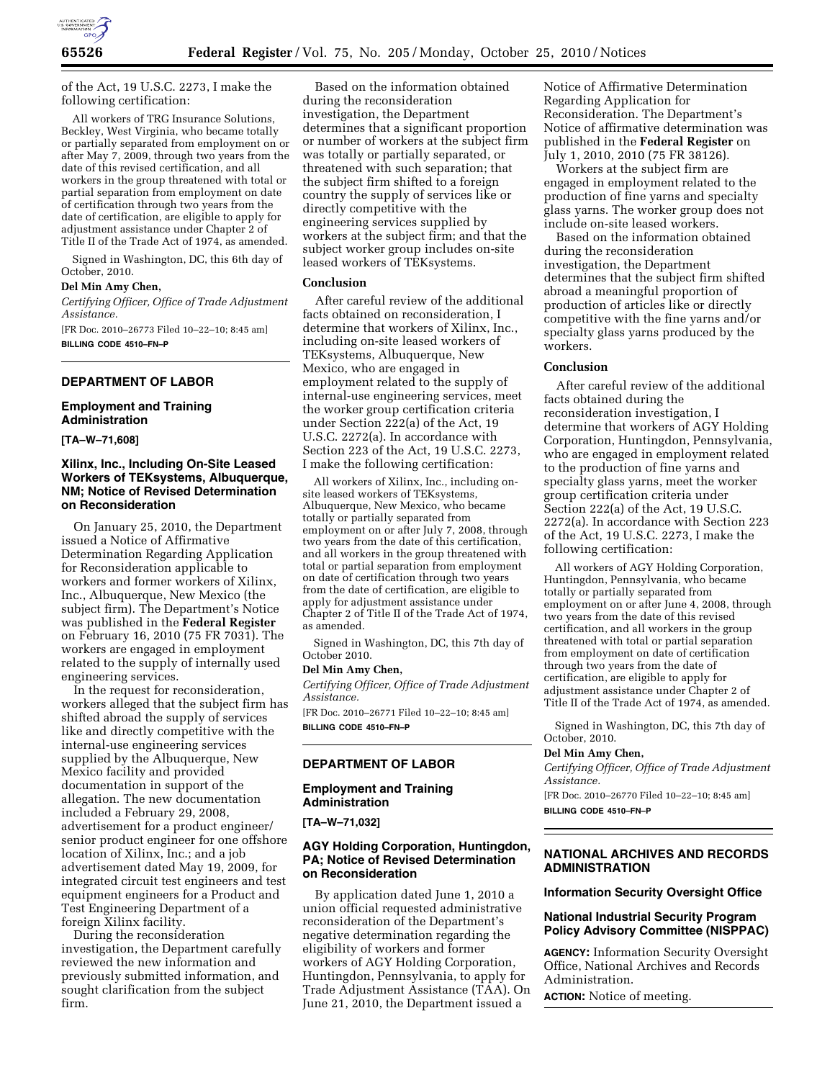

of the Act, 19 U.S.C. 2273, I make the following certification:

All workers of TRG Insurance Solutions, Beckley, West Virginia, who became totally or partially separated from employment on or after May 7, 2009, through two years from the date of this revised certification, and all workers in the group threatened with total or partial separation from employment on date of certification through two years from the date of certification, are eligible to apply for adjustment assistance under Chapter 2 of Title II of the Trade Act of 1974, as amended.

Signed in Washington, DC, this 6th day of October, 2010.

#### **Del Min Amy Chen,**

*Certifying Officer, Office of Trade Adjustment Assistance.* 

[FR Doc. 2010–26773 Filed 10–22–10; 8:45 am] **BILLING CODE 4510–FN–P** 

## **DEPARTMENT OF LABOR**

#### **Employment and Training Administration**

**[TA–W–71,608]** 

## **Xilinx, Inc., Including On-Site Leased Workers of TEKsystems, Albuquerque, NM; Notice of Revised Determination on Reconsideration**

On January 25, 2010, the Department issued a Notice of Affirmative Determination Regarding Application for Reconsideration applicable to workers and former workers of Xilinx, Inc., Albuquerque, New Mexico (the subject firm). The Department's Notice was published in the **Federal Register**  on February 16, 2010 (75 FR 7031). The workers are engaged in employment related to the supply of internally used engineering services.

In the request for reconsideration, workers alleged that the subject firm has shifted abroad the supply of services like and directly competitive with the internal-use engineering services supplied by the Albuquerque, New Mexico facility and provided documentation in support of the allegation. The new documentation included a February 29, 2008, advertisement for a product engineer/ senior product engineer for one offshore location of Xilinx, Inc.; and a job advertisement dated May 19, 2009, for integrated circuit test engineers and test equipment engineers for a Product and Test Engineering Department of a foreign Xilinx facility.

During the reconsideration investigation, the Department carefully reviewed the new information and previously submitted information, and sought clarification from the subject firm.

Based on the information obtained during the reconsideration investigation, the Department determines that a significant proportion or number of workers at the subject firm was totally or partially separated, or threatened with such separation; that the subject firm shifted to a foreign country the supply of services like or directly competitive with the engineering services supplied by workers at the subject firm; and that the subject worker group includes on-site leased workers of TEKsystems.

#### **Conclusion**

After careful review of the additional facts obtained on reconsideration, I determine that workers of Xilinx, Inc., including on-site leased workers of TEKsystems, Albuquerque, New Mexico, who are engaged in employment related to the supply of internal-use engineering services, meet the worker group certification criteria under Section 222(a) of the Act, 19 U.S.C. 2272(a). In accordance with Section 223 of the Act, 19 U.S.C. 2273, I make the following certification:

All workers of Xilinx, Inc., including onsite leased workers of TEKsystems, Albuquerque, New Mexico, who became totally or partially separated from employment on or after July 7, 2008, through two years from the date of this certification, and all workers in the group threatened with total or partial separation from employment on date of certification through two years from the date of certification, are eligible to apply for adjustment assistance under Chapter 2 of Title II of the Trade Act of 1974, as amended.

Signed in Washington, DC, this 7th day of October 2010.

#### **Del Min Amy Chen,**

*Certifying Officer, Office of Trade Adjustment Assistance.* 

[FR Doc. 2010–26771 Filed 10–22–10; 8:45 am] **BILLING CODE 4510–FN–P** 

### **DEPARTMENT OF LABOR**

# **Employment and Training Administration**

**[TA–W–71,032]** 

### **AGY Holding Corporation, Huntingdon, PA; Notice of Revised Determination on Reconsideration**

By application dated June 1, 2010 a union official requested administrative reconsideration of the Department's negative determination regarding the eligibility of workers and former workers of AGY Holding Corporation, Huntingdon, Pennsylvania, to apply for Trade Adjustment Assistance (TAA). On June 21, 2010, the Department issued a

Notice of Affirmative Determination Regarding Application for Reconsideration. The Department's Notice of affirmative determination was published in the **Federal Register** on July 1, 2010, 2010 (75 FR 38126).

Workers at the subject firm are engaged in employment related to the production of fine yarns and specialty glass yarns. The worker group does not include on-site leased workers.

Based on the information obtained during the reconsideration investigation, the Department determines that the subject firm shifted abroad a meaningful proportion of production of articles like or directly competitive with the fine yarns and/or specialty glass yarns produced by the workers.

## **Conclusion**

After careful review of the additional facts obtained during the reconsideration investigation, I determine that workers of AGY Holding Corporation, Huntingdon, Pennsylvania, who are engaged in employment related to the production of fine yarns and specialty glass yarns, meet the worker group certification criteria under Section 222(a) of the Act, 19 U.S.C. 2272(a). In accordance with Section 223 of the Act, 19 U.S.C. 2273, I make the following certification:

All workers of AGY Holding Corporation, Huntingdon, Pennsylvania, who became totally or partially separated from employment on or after June 4, 2008, through two years from the date of this revised certification, and all workers in the group threatened with total or partial separation from employment on date of certification through two years from the date of certification, are eligible to apply for adjustment assistance under Chapter 2 of Title II of the Trade Act of 1974, as amended.

Signed in Washington, DC, this 7th day of October, 2010.

#### **Del Min Amy Chen,**

*Certifying Officer, Office of Trade Adjustment Assistance.* 

[FR Doc. 2010–26770 Filed 10–22–10; 8:45 am] **BILLING CODE 4510–FN–P** 

#### **NATIONAL ARCHIVES AND RECORDS ADMINISTRATION**

# **Information Security Oversight Office**

#### **National Industrial Security Program Policy Advisory Committee (NISPPAC)**

**AGENCY:** Information Security Oversight Office, National Archives and Records Administration.

**ACTION:** Notice of meeting.